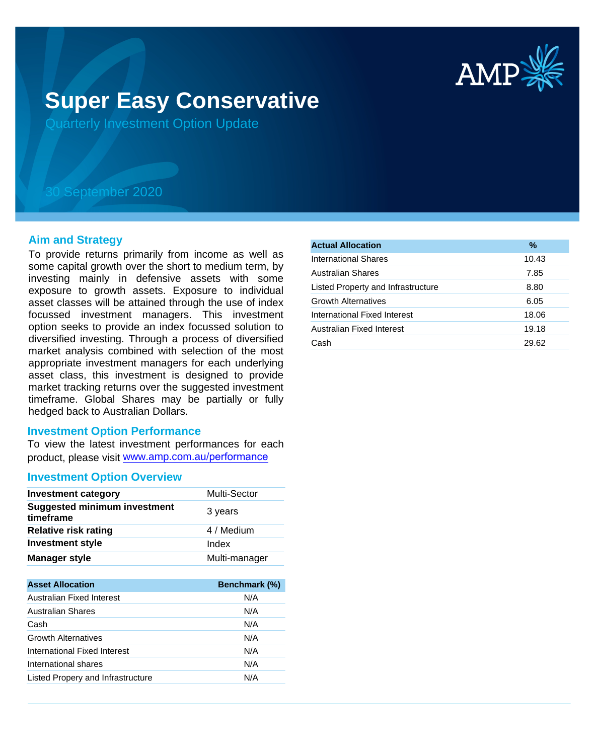

# **Super Easy Conservative**

Quarterly Investment Option Update

## 30 September 2020

#### **Aim and Strategy**

To provide returns primarily from income as well as some capital growth over the short to medium term, by investing mainly in defensive assets with some exposure to growth assets. Exposure to individual asset classes will be attained through the use of index focussed investment managers. This investment option seeks to provide an index focussed solution to diversified investing. Through a process of diversified market analysis combined with selection of the most appropriate investment managers for each underlying asset class, this investment is designed to provide market tracking returns over the suggested investment timeframe. Global Shares may be partially or fully hedged back to Australian Dollars.

#### **Investment Option Performance**

To view the latest investment performances for each product, please visit www.amp.com.au/performance

#### **Investment Option Overview**

| <b>Investment category</b>                       | <b>Multi-Sector</b> |
|--------------------------------------------------|---------------------|
| <b>Suggested minimum investment</b><br>timeframe | 3 years             |
| <b>Relative risk rating</b>                      | 4 / Medium          |
| <b>Investment style</b>                          | Index               |
| <b>Manager style</b>                             | Multi-manager       |

| <b>Asset Allocation</b>           | Benchmark (%) |
|-----------------------------------|---------------|
| Australian Fixed Interest         | N/A           |
| Australian Shares                 | N/A           |
| Cash                              | N/A           |
| <b>Growth Alternatives</b>        | N/A           |
| International Fixed Interest      | N/A           |
| International shares              | N/A           |
| Listed Propery and Infrastructure | N/A           |

| <b>Actual Allocation</b>           | $\frac{9}{6}$ |
|------------------------------------|---------------|
| International Shares               | 10.43         |
| <b>Australian Shares</b>           | 7.85          |
| Listed Property and Infrastructure | 8.80          |
| <b>Growth Alternatives</b>         | 6.05          |
| International Fixed Interest       | 18.06         |
| Australian Fixed Interest          | 19.18         |
| Cash                               | 29.62         |